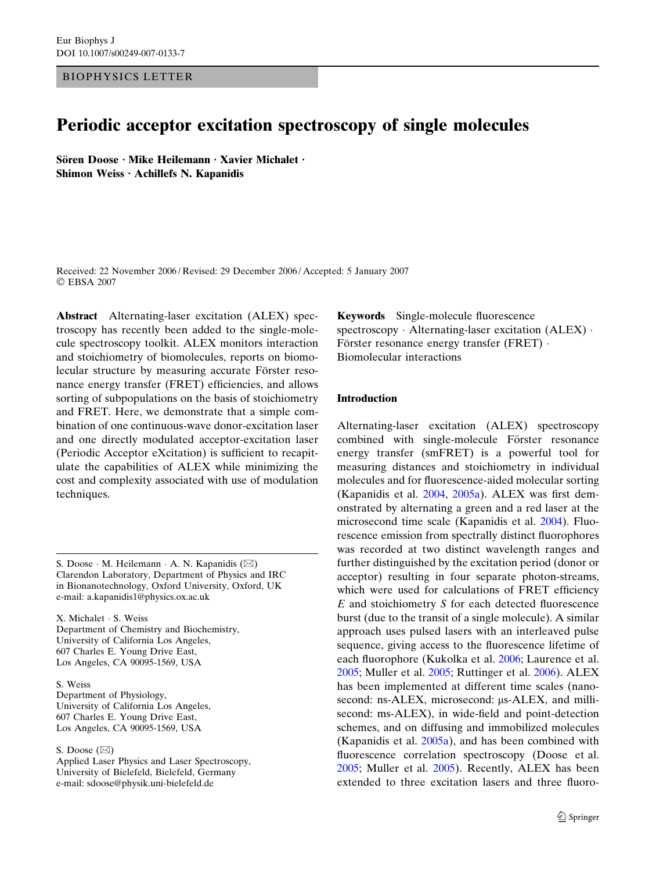BIOPHYSICS LETTER

# Periodic acceptor excitation spectroscopy of single molecules

Sören Doose · Mike Heilemann · Xavier Michalet · Shimon Weiss  $\cdot$  Achillefs N. Kapanidis

Received: 22 November 2006 / Revised: 29 December 2006 / Accepted: 5 January 2007 EBSA 2007

Abstract Alternating-laser excitation (ALEX) spectroscopy has recently been added to the single-molecule spectroscopy toolkit. ALEX monitors interaction and stoichiometry of biomolecules, reports on biomolecular structure by measuring accurate Förster resonance energy transfer (FRET) efficiencies, and allows sorting of subpopulations on the basis of stoichiometry and FRET. Here, we demonstrate that a simple combination of one continuous-wave donor-excitation laser and one directly modulated acceptor-excitation laser (Periodic Acceptor eXcitation) is sufficient to recapitulate the capabilities of ALEX while minimizing the cost and complexity associated with use of modulation techniques.

S. Doose  $\cdot$  M. Heilemann  $\cdot$  A. N. Kapanidis ( $\boxtimes$ ) Clarendon Laboratory, Department of Physics and IRC in Bionanotechnology, Oxford University, Oxford, UK e-mail: a.kapanidis1@physics.ox.ac.uk

X. Michalet · S. Weiss Department of Chemistry and Biochemistry, University of California Los Angeles, 607 Charles E. Young Drive East, Los Angeles, CA 90095-1569, USA

S. Weiss Department of Physiology, University of California Los Angeles, 607 Charles E. Young Drive East, Los Angeles, CA 90095-1569, USA

S. Doose  $(\boxtimes)$ 

Applied Laser Physics and Laser Spectroscopy, University of Bielefeld, Bielefeld, Germany e-mail: sdoose@physik.uni-bielefeld.de

Keywords Single-molecule fluorescence spectroscopy  $\cdot$  Alternating-laser excitation (ALEX)  $\cdot$ Förster resonance energy transfer (FRET)  $\cdot$ Biomolecular interactions

## Introduction

Alternating-laser excitation (ALEX) spectroscopy combined with single-molecule Förster resonance energy transfer (smFRET) is a powerful tool for measuring distances and stoichiometry in individual molecules and for fluorescence-aided molecular sorting (Kapanidis et al. [2004](#page-4-0), [2005a](#page-4-0)). ALEX was first demonstrated by alternating a green and a red laser at the microsecond time scale (Kapanidis et al. [2004\)](#page-4-0). Fluorescence emission from spectrally distinct fluorophores was recorded at two distinct wavelength ranges and further distinguished by the excitation period (donor or acceptor) resulting in four separate photon-streams, which were used for calculations of FRET efficiency E and stoichiometry S for each detected fluorescence burst (due to the transit of a single molecule). A similar approach uses pulsed lasers with an interleaved pulse sequence, giving access to the fluorescence lifetime of each fluorophore (Kukolka et al. [2006;](#page-5-0) Laurence et al. [2005](#page-5-0); Muller et al. [2005](#page-5-0); Ruttinger et al. [2006\)](#page-5-0). ALEX has been implemented at different time scales (nanosecond: ns-ALEX, microsecond:  $\mu$ s-ALEX, and millisecond: ms-ALEX), in wide-field and point-detection schemes, and on diffusing and immobilized molecules (Kapanidis et al. [2005a\)](#page-4-0), and has been combined with fluorescence correlation spectroscopy (Doose et al. [2005](#page-4-0); Muller et al. [2005](#page-5-0)). Recently, ALEX has been extended to three excitation lasers and three fluoro-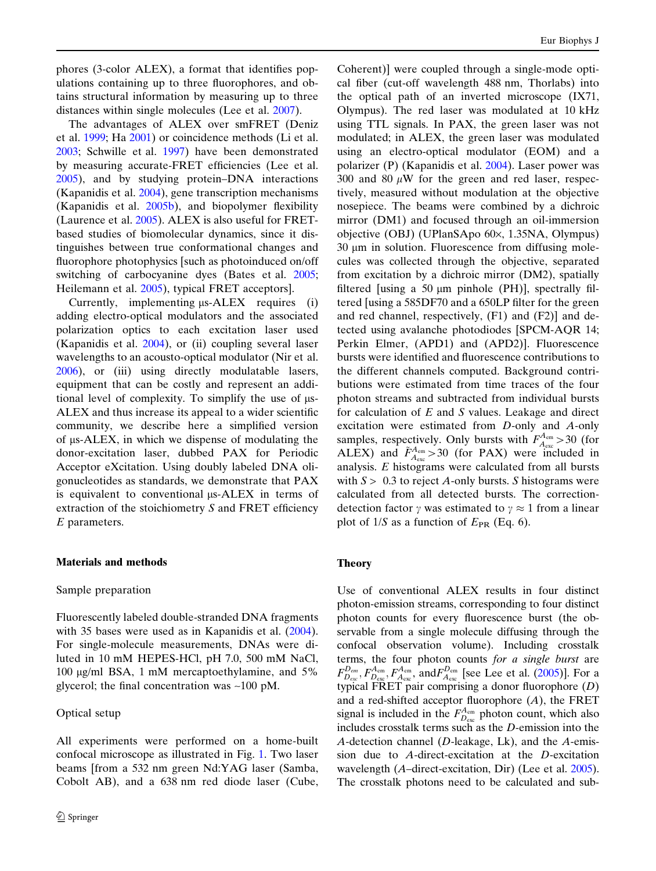<span id="page-1-0"></span>phores (3-color ALEX), a format that identifies populations containing up to three fluorophores, and obtains structural information by measuring up to three distances within single molecules (Lee et al. [2007\)](#page-5-0).

The advantages of ALEX over smFRET (Deniz et al. [1999;](#page-4-0) Ha [2001\)](#page-4-0) or coincidence methods (Li et al. [2003;](#page-5-0) Schwille et al. [1997\)](#page-5-0) have been demonstrated by measuring accurate-FRET efficiencies (Lee et al. [2005\)](#page-5-0), and by studying protein–DNA interactions (Kapanidis et al. [2004](#page-4-0)), gene transcription mechanisms (Kapanidis et al. [2005b](#page-4-0)), and biopolymer flexibility (Laurence et al. [2005](#page-5-0)). ALEX is also useful for FRETbased studies of biomolecular dynamics, since it distinguishes between true conformational changes and fluorophore photophysics [such as photoinduced on/off switching of carbocyanine dyes (Bates et al. [2005;](#page-4-0) Heilemann et al. [2005\)](#page-4-0), typical FRET acceptors].

Currently, implementing  $\mu$ s-ALEX requires (i) adding electro-optical modulators and the associated polarization optics to each excitation laser used (Kapanidis et al. [2004\)](#page-4-0), or (ii) coupling several laser wavelengths to an acousto-optical modulator (Nir et al. [2006\)](#page-5-0), or (iii) using directly modulatable lasers, equipment that can be costly and represent an additional level of complexity. To simplify the use of  $\mu$ s-ALEX and thus increase its appeal to a wider scientific community, we describe here a simplified version of ls-ALEX, in which we dispense of modulating the donor-excitation laser, dubbed PAX for Periodic Acceptor eXcitation. Using doubly labeled DNA oligonucleotides as standards, we demonstrate that PAX is equivalent to conventional  $\mu$ s-ALEX in terms of extraction of the stoichiometry  $S$  and FRET efficiency  $E$  parameters.

## Materials and methods

## Sample preparation

Fluorescently labeled double-stranded DNA fragments with 35 bases were used as in Kapanidis et al.  $(2004)$  $(2004)$ . For single-molecule measurements, DNAs were diluted in 10 mM HEPES-HCl, pH 7.0, 500 mM NaCl, 100 lg/ml BSA, 1 mM mercaptoethylamine, and 5% glycerol; the final concentration was ~100 pM.

# Optical setup

All experiments were performed on a home-built confocal microscope as illustrated in Fig. [1.](#page-2-0) Two laser beams [from a 532 nm green Nd:YAG laser (Samba, Cobolt AB), and a 638 nm red diode laser (Cube, Coherent)] were coupled through a single-mode optical fiber (cut-off wavelength 488 nm, Thorlabs) into the optical path of an inverted microscope (IX71, Olympus). The red laser was modulated at 10 kHz using TTL signals. In PAX, the green laser was not modulated; in ALEX, the green laser was modulated using an electro-optical modulator (EOM) and a polarizer (P) (Kapanidis et al. [2004\)](#page-4-0). Laser power was 300 and 80  $\mu$ W for the green and red laser, respectively, measured without modulation at the objective nosepiece. The beams were combined by a dichroic mirror (DM1) and focused through an oil-immersion objective (OBJ) (UPlanSApo 60×, 1.35NA, Olympus)  $30 \mu m$  in solution. Fluorescence from diffusing molecules was collected through the objective, separated from excitation by a dichroic mirror (DM2), spatially filtered [using a 50  $\mu$ m pinhole (PH)], spectrally filtered [using a 585DF70 and a 650LP filter for the green and red channel, respectively, (F1) and (F2)] and detected using avalanche photodiodes [SPCM-AQR 14; Perkin Elmer, (APD1) and (APD2)]. Fluorescence bursts were identified and fluorescence contributions to the different channels computed. Background contributions were estimated from time traces of the four photon streams and subtracted from individual bursts for calculation of  $E$  and  $S$  values. Leakage and direct excitation were estimated from D-only and A-only samples, respectively. Only bursts with  $F_{A_{\text{ex}}}^{A_{\text{em}}} > 30$  (for ALEX) and  $\tilde{F}_{A_{\text{exc}}}^{A_{\text{em}}} > 30$  (for PAX) were included in analysis. E histograms were calculated from all bursts with  $S > 0.3$  to reject A-only bursts. S histograms were calculated from all detected bursts. The correctiondetection factor  $\gamma$  was estimated to  $\gamma \approx 1$  from a linear plot of  $1/S$  as a function of  $E_{PR}$  (Eq. 6).

# Theory

Use of conventional ALEX results in four distinct photon-emission streams, corresponding to four distinct photon counts for every fluorescence burst (the observable from a single molecule diffusing through the confocal observation volume). Including crosstalk terms, the four photon counts for a single burst are  $F_{D_{\text{exc}}}^{D_{\text{em}}}, F_{D_{\text{exc}}}^{A_{\text{em}}}, F_{A_{\text{exc}}}^{A_{\text{em}}}$  and  $F_{A_{\text{exc}}}^{D_{\text{em}}}$  [see Lee et al. [\(2005\)](#page-5-0)]. For a typical FRET pair comprising a donor fluorophore  $(D)$ and a red-shifted acceptor fluorophore  $(A)$ , the FRET signal is included in the  $F_{D_{\text{ex}}}^{A_{\text{em}}}$  photon count, which also includes crosstalk terms such as the  $D$ -emission into the A-detection channel ( $D$ -leakage, Lk), and the  $A$ -emission due to A-direct-excitation at the D-excitation wavelength (A–direct-excitation, Dir) (Lee et al. [2005](#page-5-0)). The crosstalk photons need to be calculated and sub-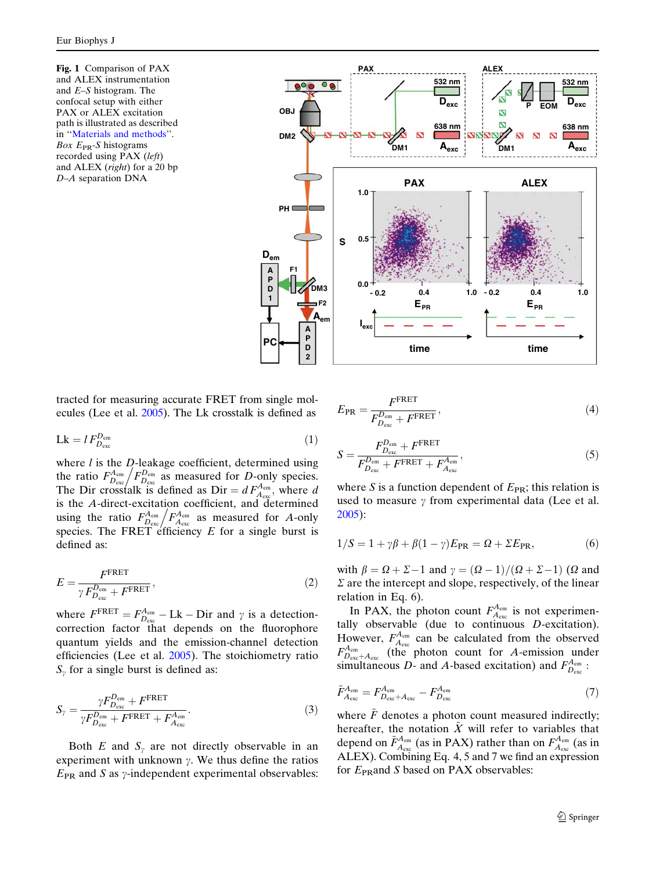<span id="page-2-0"></span>**Fig. 1** Comparison of PAX and ALEX instrumentation and E–S histogram. The confocal setup with either PAX or ALEX excitation path is illustrated as described in ''[Materials and methods](#page-1-0)''. Box  $E_{PR}$ -S histograms recorded using PAX (left) and ALEX (right) for a 20 bp D–A separation DNA



tracted for measuring accurate FRET from single molecules (Lee et al. [2005](#page-5-0)). The Lk crosstalk is defined as

$$
Lk = l F_{D_{\text{exc}}}^{D_{\text{em}}} \tag{1}
$$

where  $l$  is the  $D$ -leakage coefficient, determined using where *t* is the *D*-leakage coefficient, determined using<br>the ratio  $F_{D_{\text{exc}}}^{A_{\text{em}}} / F_{D_{\text{exc}}}^{D_{\text{em}}}$  as measured for *D*-only species. The Dir crosstalk is defined as Dir =  $dF_{A_{\text{exc}}}^{A_{\text{em}}}$ , where d is the A-direct-excitation coefficient, and determined is the A-direct-excitation coefficient, and determined<br>using the ratio  $F_{D_{\text{exc}}}^{A_{\text{em}}} / F_{A_{\text{exc}}}^{A_{\text{em}}}$  as measured for A-only species. The FRET efficiency  $E$  for a single burst is defined as:

$$
E = \frac{F^{\text{FRET}}}{\gamma F_{D_{\text{exc}}}^{D_{\text{em}}} + F^{\text{FRET}}},\tag{2}
$$

where  $F^{\text{FRET}} = F_{D_{\text{exc}}}^{A_{\text{em}}} - \text{Lk} - \text{Dir}$  and  $\gamma$  is a detectioncorrection factor that depends on the fluorophore quantum yields and the emission-channel detection efficiencies (Lee et al. [2005\)](#page-5-0). The stoichiometry ratio  $S_{\gamma}$  for a single burst is defined as:

$$
S_{\gamma} = \frac{\gamma F_{D_{\text{exc}}}^{D_{\text{em}}} + F^{\text{FRET}}}{\gamma F_{D_{\text{exc}}}^{D_{\text{em}}} + F^{\text{FRET}} + F_{A_{\text{exc}}}^{A_{\text{em}}}}.
$$
\n(3)

Both  $E$  and  $S<sub>y</sub>$  are not directly observable in an experiment with unknown  $\gamma$ . We thus define the ratios  $E_{PR}$  and S as y-independent experimental observables:

$$
E_{\rm PR} = \frac{F^{\rm FRET}}{F_{D_{\rm exc}}^{D_{\rm em}} + F^{\rm FRET}},\tag{4}
$$

$$
S = \frac{F_{D_{\text{exc}}}^{D_{\text{em}}} + F^{\text{FRET}}}{F_{D_{\text{exc}}}^{D_{\text{em}}} + F^{\text{FRET}} + F_{A_{\text{exc}}}^{A_{\text{em}}}},\tag{5}
$$

where S is a function dependent of  $E_{PR}$ ; this relation is used to measure  $\gamma$  from experimental data (Lee et al. [2005](#page-5-0)):

$$
1/S = 1 + \gamma \beta + \beta (1 - \gamma) E_{PR} = \Omega + \Sigma E_{PR}, \tag{6}
$$

with  $\beta = \Omega + \Sigma - 1$  and  $\gamma = (\Omega - 1)/(\Omega + \Sigma - 1)$  ( $\Omega$  and  $\Sigma$  are the intercept and slope, respectively, of the linear relation in Eq. 6).

In PAX, the photon count  $F_{A_{\text{exc}}}^{A_{\text{em}}}$  is not experimentally observable (due to continuous  $D$ -excitation). However,  $F_{A_{\text{exc}}}^{A_{\text{em}}}$  can be calculated from the observed  $F_{D_{\text{exc}}+A_{\text{exc}}}^{A_{\text{em}}}$  (the photon count for A-emission under simultaneous D- and A-based excitation) and  $F_{D_{\text{exc}}}^{A_{\text{em}}}$ .

$$
\tilde{F}_{A_{\text{exc}}}^{A_{\text{em}}} = F_{D_{\text{exc}}+A_{\text{exc}}}^{A_{\text{em}}} - F_{D_{\text{exc}}}^{A_{\text{em}}} \tag{7}
$$

where  $\tilde{F}$  denotes a photon count measured indirectly; hereafter, the notation  $\tilde{X}$  will refer to variables that depend on  $\tilde{F}_{A_{\text{exc}}}^{A_{\text{em}}}$  (as in PAX) rather than on  $F_{A_{\text{exc}}}^{A_{\text{em}}}$  (as in ALEX). Combining Eq. 4, 5 and 7 we find an expression for  $E_{\text{PR}}$  and S based on PAX observables: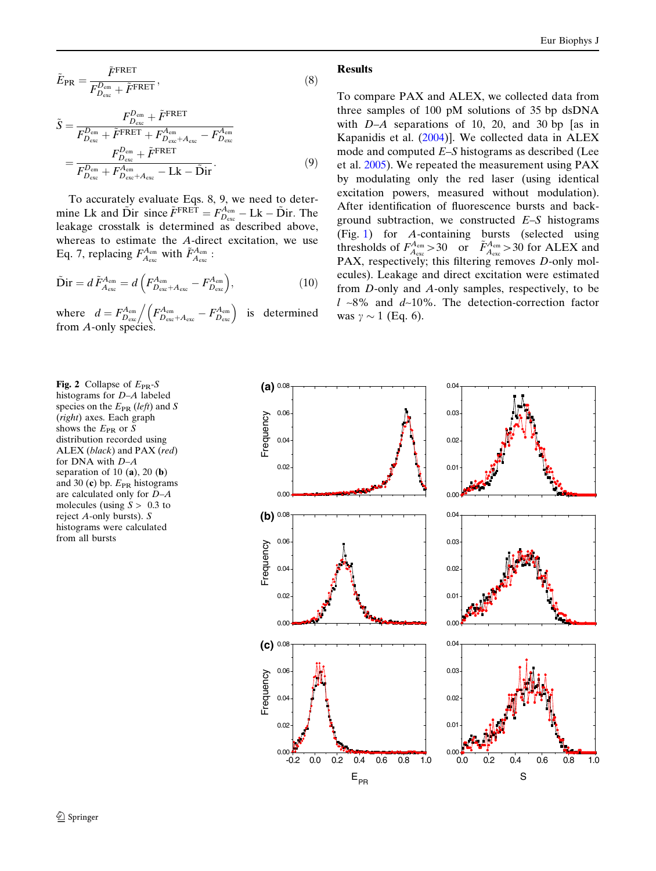<span id="page-3-0"></span>
$$
\tilde{E}_{\rm PR} = \frac{\tilde{F}^{\rm FRET}}{F_{D_{\rm exc}}^{D_{\rm em}} + \tilde{F}^{\rm FRET}},\tag{8}
$$

$$
\tilde{S} = \frac{F_{D_{\text{exc}}}^{D_{\text{em}}} + \tilde{F}^{\text{FRET}}}{F_{D_{\text{exc}}}^{D_{\text{em}}} + \tilde{F}^{\text{FRET}} + F_{D_{\text{exc}}+A_{\text{exc}}}^{A_{\text{em}}} - F_{D_{\text{exc}}}^{A_{\text{em}}}} = \frac{F_{D_{\text{exc}}}^{D_{\text{em}}} + \tilde{F}^{\text{FRET}}}{F_{D_{\text{exc}}}^{D_{\text{em}}} + F_{D_{\text{exc}}}^{A_{\text{em}}} - \text{Lk} - \tilde{\text{Dir}}}.
$$
\n(9)

To accurately evaluate Eqs. 8, 9, we need to determine Lk and  $\tilde{D}$ ir since  $\tilde{F}^{FRET} = F_{D_{\text{exc}}}^{A_{\text{em}}} - Lk - \tilde{D}$ ir. The leakage crosstalk is determined as described above, whereas to estimate the A-direct excitation, we use Eq. 7, replacing  $F_{A_{\text{exc}}}^{A_{\text{em}}}$  with  $\tilde{F}_{A_{\text{exc}}}^{A_{\text{em}}}$ :

$$
\tilde{\mathbf{Dir}} = d\,\tilde{F}_{A_{\rm exc}}^{A_{\rm em}} = d\left(F_{D_{\rm exc}+A_{\rm exc}}^{A_{\rm em}} - F_{D_{\rm exc}}^{A_{\rm em}}\right),\tag{10}
$$

where  $d = F_{D_{\text{exc}}}^{A_{\text{em}}} / (F_{D_{\text{exc}}+A_{\text{exc}}}^{A_{\text{em}}} - F_{D_{\text{exc}}}^{A_{\text{em}}} )$  is determined from A-only species.

### Results

To compare PAX and ALEX, we collected data from three samples of 100 pM solutions of 35 bp dsDNA with  $D-A$  separations of 10, 20, and 30 bp [as in Kapanidis et al. ([2004\)](#page-4-0)]. We collected data in ALEX mode and computed  $E-S$  histograms as described (Lee et al. [2005\)](#page-5-0). We repeated the measurement using PAX by modulating only the red laser (using identical excitation powers, measured without modulation). After identification of fluorescence bursts and background subtraction, we constructed  $E-S$  histograms (Fig. [1\)](#page-2-0) for A-containing bursts (selected using thresholds of  $F_{A_{\text{exc}}}^{A_{\text{em}}} > 30$  or  $\tilde{F}_{A_{\text{exc}}}^{A_{\text{em}}} > 30$  for ALEX and PAX, respectively; this filtering removes D-only molecules). Leakage and direct excitation were estimated from D-only and A-only samples, respectively, to be  $l \sim 8\%$  and  $d \sim 10\%$ . The detection-correction factor was  $\gamma \sim 1$  (Eq. 6).

Fig. 2 Collapse of  $E_{PR}$ -S histograms for D–A labeled species on the  $E_{PR}$  (left) and S (right) axes. Each graph shows the  $E_{PR}$  or S distribution recorded using ALEX (black) and PAX (red) for DNA with D–A separation of 10  $(a)$ , 20  $(b)$ and 30 (c) bp.  $E_{PR}$  histograms are calculated only for  $D-A$ molecules (using  $S > 0.3$  to reject A-only bursts). S histograms were calculated from all bursts

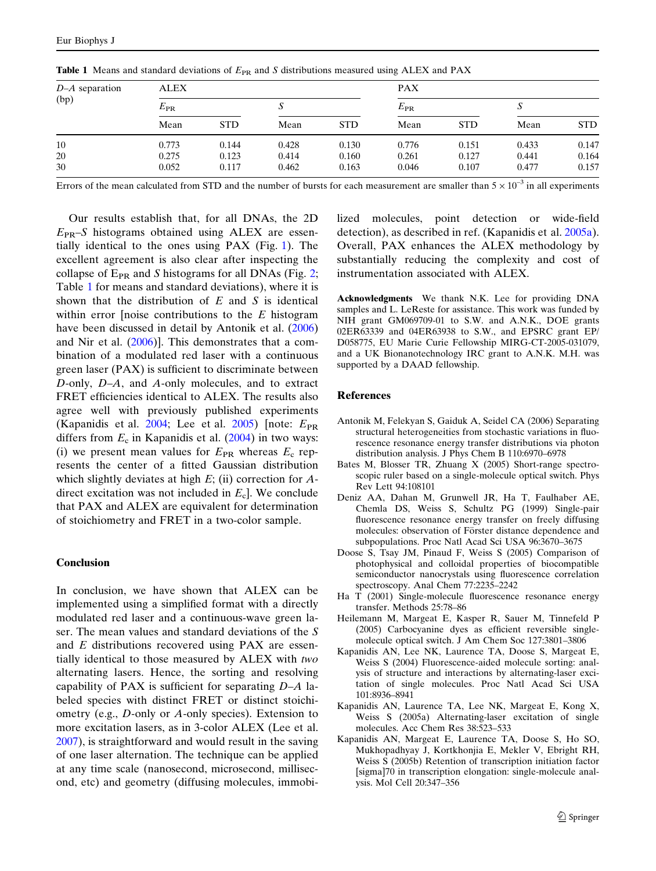| $D-A$ separation<br>(bp) | <b>ALEX</b>  |            |       |            | <b>PAX</b>   |            |       |            |
|--------------------------|--------------|------------|-------|------------|--------------|------------|-------|------------|
|                          | $E_{\rm PR}$ |            |       |            | $E_{\rm PR}$ |            |       |            |
|                          | Mean         | <b>STD</b> | Mean  | <b>STD</b> | Mean         | <b>STD</b> | Mean  | <b>STD</b> |
| 10                       | 0.773        | 0.144      | 0.428 | 0.130      | 0.776        | 0.151      | 0.433 | 0.147      |
| 20                       | 0.275        | 0.123      | 0.414 | 0.160      | 0.261        | 0.127      | 0.441 | 0.164      |
| 30                       | 0.052        | 0.117      | 0.462 | 0.163      | 0.046        | 0.107      | 0.477 | 0.157      |

<span id="page-4-0"></span>**Table 1** Means and standard deviations of  $E_{PR}$  and S distributions measured using ALEX and PAX

Errors of the mean calculated from STD and the number of bursts for each measurement are smaller than  $5 \times 10^{-3}$  in all experiments

Our results establish that, for all DNAs, the 2D  $E_{PR}$ –S histograms obtained using ALEX are essentially identical to the ones using PAX (Fig. [1\)](#page-2-0). The excellent agreement is also clear after inspecting the collapse of  $E_{PR}$  and S histograms for all DNAs (Fig. [2;](#page-3-0) Table 1 for means and standard deviations), where it is shown that the distribution of  $E$  and  $S$  is identical within error [noise contributions to the  $E$  histogram have been discussed in detail by Antonik et al. (2006) and Nir et al. [\(2006](#page-5-0))]. This demonstrates that a combination of a modulated red laser with a continuous green laser (PAX) is sufficient to discriminate between D-only, D–A, and A-only molecules, and to extract FRET efficiencies identical to ALEX. The results also agree well with previously published experiments (Kapanidis et al. 2004; Lee et al. [2005\)](#page-5-0) [note:  $E_{PR}$ differs from  $E_c$  in Kapanidis et al. (2004) in two ways: (i) we present mean values for  $E_{PR}$  whereas  $E_c$  represents the center of a fitted Gaussian distribution which slightly deviates at high  $E$ ; (ii) correction for  $A$ direct excitation was not included in  $E<sub>c</sub>$ . We conclude that PAX and ALEX are equivalent for determination of stoichiometry and FRET in a two-color sample.

#### Conclusion

In conclusion, we have shown that ALEX can be implemented using a simplified format with a directly modulated red laser and a continuous-wave green laser. The mean values and standard deviations of the S and E distributions recovered using PAX are essentially identical to those measured by ALEX with two alternating lasers. Hence, the sorting and resolving capability of PAX is sufficient for separating  $D-A$  labeled species with distinct FRET or distinct stoichiometry (e.g., D-only or A-only species). Extension to more excitation lasers, as in 3-color ALEX (Lee et al. [2007\)](#page-5-0), is straightforward and would result in the saving of one laser alternation. The technique can be applied at any time scale (nanosecond, microsecond, millisecond, etc) and geometry (diffusing molecules, immobilized molecules, point detection or wide-field detection), as described in ref. (Kapanidis et al. 2005a). Overall, PAX enhances the ALEX methodology by substantially reducing the complexity and cost of instrumentation associated with ALEX.

Acknowledgments We thank N.K. Lee for providing DNA samples and L. LeReste for assistance. This work was funded by NIH grant GM069709-01 to S.W. and A.N.K., DOE grants 02ER63339 and 04ER63938 to S.W., and EPSRC grant EP/ D058775, EU Marie Curie Fellowship MIRG-CT-2005-031079, and a UK Bionanotechnology IRC grant to A.N.K. M.H. was supported by a DAAD fellowship.

#### References

- Antonik M, Felekyan S, Gaiduk A, Seidel CA (2006) Separating structural heterogeneities from stochastic variations in fluorescence resonance energy transfer distributions via photon distribution analysis. J Phys Chem B 110:6970–6978
- Bates M, Blosser TR, Zhuang X (2005) Short-range spectroscopic ruler based on a single-molecule optical switch. Phys Rev Lett 94:108101
- Deniz AA, Dahan M, Grunwell JR, Ha T, Faulhaber AE, Chemla DS, Weiss S, Schultz PG (1999) Single-pair fluorescence resonance energy transfer on freely diffusing molecules: observation of Förster distance dependence and subpopulations. Proc Natl Acad Sci USA 96:3670–3675
- Doose S, Tsay JM, Pinaud F, Weiss S (2005) Comparison of photophysical and colloidal properties of biocompatible semiconductor nanocrystals using fluorescence correlation spectroscopy. Anal Chem 77:2235–2242
- Ha T (2001) Single-molecule fluorescence resonance energy transfer. Methods 25:78–86
- Heilemann M, Margeat E, Kasper R, Sauer M, Tinnefeld P (2005) Carbocyanine dyes as efficient reversible singlemolecule optical switch. J Am Chem Soc 127:3801–3806
- Kapanidis AN, Lee NK, Laurence TA, Doose S, Margeat E, Weiss S (2004) Fluorescence-aided molecule sorting: analysis of structure and interactions by alternating-laser excitation of single molecules. Proc Natl Acad Sci USA 101:8936–8941
- Kapanidis AN, Laurence TA, Lee NK, Margeat E, Kong X, Weiss S (2005a) Alternating-laser excitation of single molecules. Acc Chem Res 38:523–533
- Kapanidis AN, Margeat E, Laurence TA, Doose S, Ho SO, Mukhopadhyay J, Kortkhonjia E, Mekler V, Ebright RH, Weiss S (2005b) Retention of transcription initiation factor [sigma]70 in transcription elongation: single-molecule analysis. Mol Cell 20:347–356